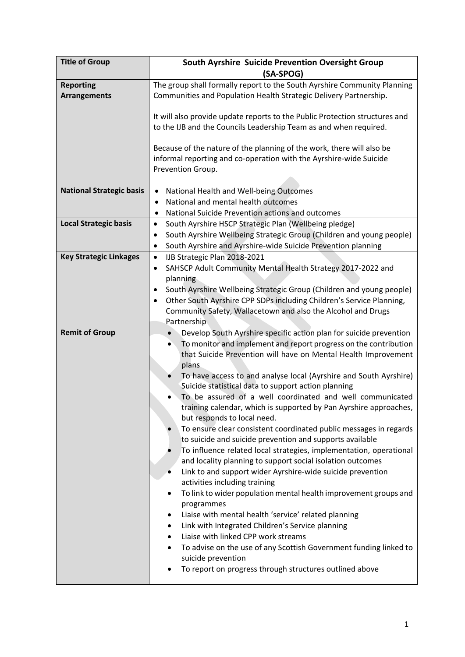| <b>Title of Group</b>                   | South Ayrshire Suicide Prevention Oversight Group<br>(SA-SPOG)                                                                                                                                                                                                                                                                                                                                                                                                                                                                                                                                                                                                                                                                                                                                                                                                                                                                                                                                                                                                                                                                                                                                                                                                                                                                                              |
|-----------------------------------------|-------------------------------------------------------------------------------------------------------------------------------------------------------------------------------------------------------------------------------------------------------------------------------------------------------------------------------------------------------------------------------------------------------------------------------------------------------------------------------------------------------------------------------------------------------------------------------------------------------------------------------------------------------------------------------------------------------------------------------------------------------------------------------------------------------------------------------------------------------------------------------------------------------------------------------------------------------------------------------------------------------------------------------------------------------------------------------------------------------------------------------------------------------------------------------------------------------------------------------------------------------------------------------------------------------------------------------------------------------------|
| <b>Reporting</b><br><b>Arrangements</b> | The group shall formally report to the South Ayrshire Community Planning<br>Communities and Population Health Strategic Delivery Partnership.                                                                                                                                                                                                                                                                                                                                                                                                                                                                                                                                                                                                                                                                                                                                                                                                                                                                                                                                                                                                                                                                                                                                                                                                               |
|                                         | It will also provide update reports to the Public Protection structures and<br>to the IJB and the Councils Leadership Team as and when required.                                                                                                                                                                                                                                                                                                                                                                                                                                                                                                                                                                                                                                                                                                                                                                                                                                                                                                                                                                                                                                                                                                                                                                                                            |
|                                         | Because of the nature of the planning of the work, there will also be<br>informal reporting and co-operation with the Ayrshire-wide Suicide<br>Prevention Group.                                                                                                                                                                                                                                                                                                                                                                                                                                                                                                                                                                                                                                                                                                                                                                                                                                                                                                                                                                                                                                                                                                                                                                                            |
| <b>National Strategic basis</b>         | National Health and Well-being Outcomes<br>$\bullet$<br>National and mental health outcomes<br>$\bullet$<br>National Suicide Prevention actions and outcomes<br>٠                                                                                                                                                                                                                                                                                                                                                                                                                                                                                                                                                                                                                                                                                                                                                                                                                                                                                                                                                                                                                                                                                                                                                                                           |
| <b>Local Strategic basis</b>            | South Ayrshire HSCP Strategic Plan (Wellbeing pledge)<br>$\bullet$<br>South Ayrshire Wellbeing Strategic Group (Children and young people)<br>٠<br>South Ayrshire and Ayrshire-wide Suicide Prevention planning<br>$\bullet$                                                                                                                                                                                                                                                                                                                                                                                                                                                                                                                                                                                                                                                                                                                                                                                                                                                                                                                                                                                                                                                                                                                                |
| <b>Key Strategic Linkages</b>           | IJB Strategic Plan 2018-2021<br>$\bullet$<br>SAHSCP Adult Community Mental Health Strategy 2017-2022 and<br>$\bullet$<br>planning<br>South Ayrshire Wellbeing Strategic Group (Children and young people)<br>$\bullet$<br>Other South Ayrshire CPP SDPs including Children's Service Planning,<br>$\bullet$<br>Community Safety, Wallacetown and also the Alcohol and Drugs<br>Partnership                                                                                                                                                                                                                                                                                                                                                                                                                                                                                                                                                                                                                                                                                                                                                                                                                                                                                                                                                                  |
| <b>Remit of Group</b>                   | Develop South Ayrshire specific action plan for suicide prevention<br>$\bullet$<br>To monitor and implement and report progress on the contribution<br>$\bullet$<br>that Suicide Prevention will have on Mental Health Improvement<br>plans<br>To have access to and analyse local (Ayrshire and South Ayrshire)<br>$\bullet$<br>Suicide statistical data to support action planning<br>To be assured of a well coordinated and well communicated<br>training calendar, which is supported by Pan Ayrshire approaches,<br>but responds to local need.<br>To ensure clear consistent coordinated public messages in regards<br>to suicide and suicide prevention and supports available<br>To influence related local strategies, implementation, operational<br>and locality planning to support social isolation outcomes<br>Link to and support wider Ayrshire-wide suicide prevention<br>activities including training<br>To link to wider population mental health improvement groups and<br>programmes<br>Liaise with mental health 'service' related planning<br>Link with Integrated Children's Service planning<br>$\bullet$<br>Liaise with linked CPP work streams<br>$\bullet$<br>To advise on the use of any Scottish Government funding linked to<br>$\bullet$<br>suicide prevention<br>To report on progress through structures outlined above |